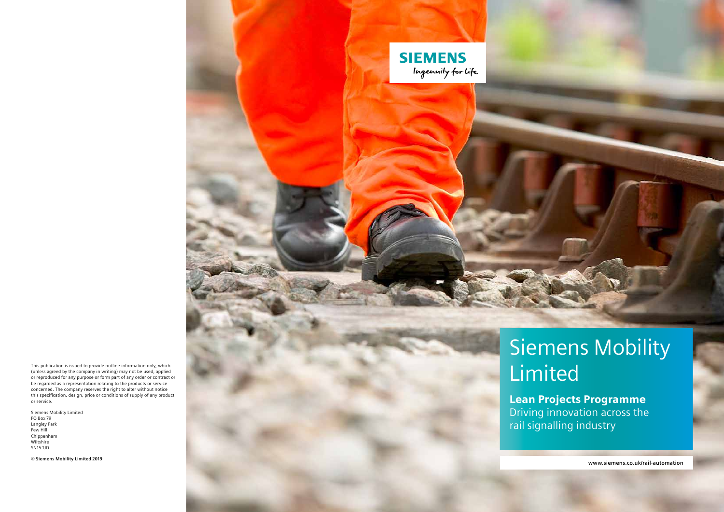**www.siemens.co.uk/rail-automation**

# Siemens Mobility Limited

Lean Projects Programme Driving innovation across the rail signalling industry



This publication is issued to provide outline information only, which (unless agreed by the company in writing) may not be used, applied or reproduced for any purpose or form part of any order or contract or be regarded as a representation relating to the products or service concerned. The company reserves the right to alter without notice this specification, design, price or conditions of supply of any product or service.

Siemens Mobility Limited PO Box 79 Langley Park Pew Hill Chippenham Wiltshire SN15 1JD

**© Siemens Mobility Limited 2019**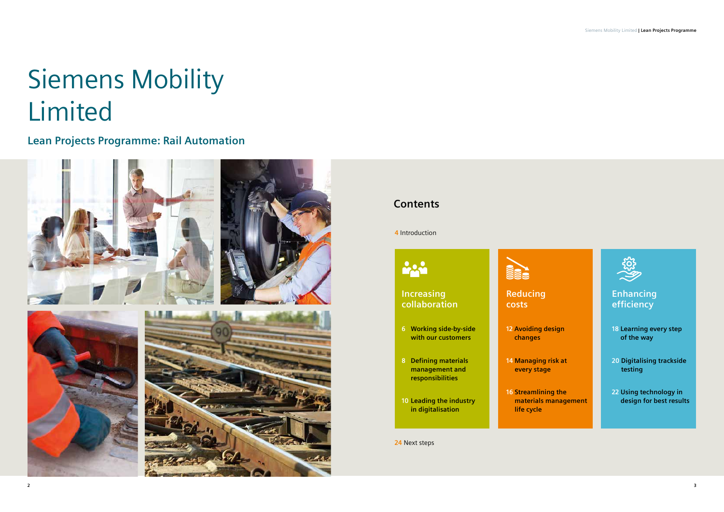# Siemens Mobility Limited

# **Lean Projects Programme: Rail Automation**



# **Contents**

**Enhancing efficiency**

**18 Learning every step of the way** 

**20 Digitalising trackside testing**

**22 Using technology in design for best results**



**materials management** 



**4** Introduction

**24** Next steps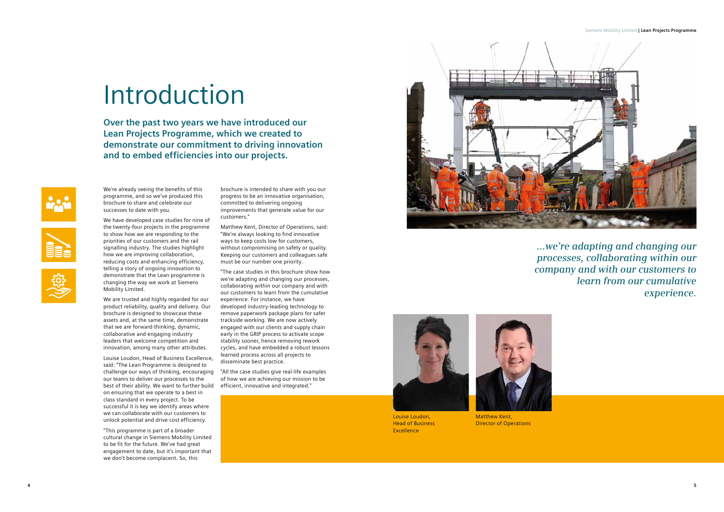We're already seeing the benefits of this programme, and so we've produced this brochure to share and celebrate our successes to date with you.

We have developed case studies for nine of the twenty-four projects in the programme to show how we are responding to the priorities of our customers and the rail signalling industry. The studies highlight how we are improving collaboration, reducing costs and enhancing efficiency, telling a story of ongoing innovation to demonstrate that the Lean programme is changing the way we work at Siemens Mobility Limited.

We are trusted and highly regarded for our product reliability, quality and delivery. Our brochure is designed to showcase these assets and, at the same time, demonstrate that we are forward-thinking, dynamic, collaborative and engaging industry leaders that welcome competition and innovation, among many other attributes.

Louise Loudon, Head of Business Excellence, said: "The Lean Programme is designed to challenge our ways of thinking, encouraging our teams to deliver our processes to the best of their ability. We want to further build on ensuring that we operate to a best in class standard in every project. To be successful it is key we identify areas where we can collaborate with our customers to unlock potential and drive cost efficiency.

"This programme is part of a broader cultural change in Siemens Mobility Limited to be fit for the future. We've had great engagement to date, but it's important that we don't become complacent. So, this

brochure is intended to share with you our progress to be an innovative organisation, committed to delivering ongoing improvements that generate value for our customers."

Matthew Kent, Director of Operations, said: "We're always looking to find innovative ways to keep costs low for customers, without compromising on safety or quality. Keeping our customers and colleagues safe must be our number one priority.

"The case studies in this brochure show how we're adapting and changing our processes, collaborating within our company and with our customers to learn from the cumulative experience. For instance, we have developed industry-leading technology to remove paperwork package plans for safer trackside working. We are now actively engaged with our clients and supply chain early in the GRIP process to activate scope stability sooner, hence removing rework cycles, and have embedded a robust lessons learned process across all projects to disseminate best practice.

"All the case studies give real-life examples of how we are achieving our mission to be efficient, innovative and integrated."





# Introduction

**Over the past two years we have introduced our Lean Projects Programme, which we created to demonstrate our commitment to driving innovation and to embed efficiencies into our projects.**





*...we're adapting and changing our processes, collaborating within our company and with our customers to learn from our cumulative experience.*



Matthew Kent, Matthew Kent, Director of Operations Director of Operations

#### Siemens Mobility Limited **| Lean Projects Programme**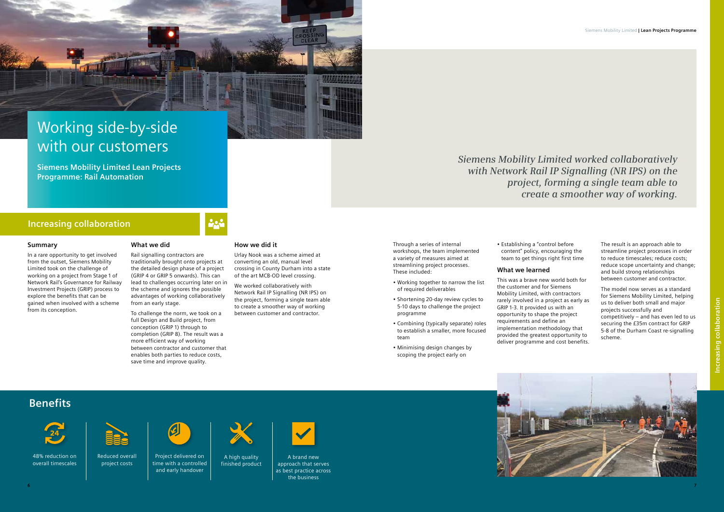In a rare opportunity to get involved from the outset, Siemens Mobility Limited took on the challenge of working on a project from Stage 1 of Network Rail's Governance for Railway Investment Projects (GRIP) process to explore the benefits that can be gained when involved with a scheme from its conception.

#### **What we did**

Rail signalling contractors are traditionally brought onto projects at the detailed design phase of a project (GRIP 4 or GRIP 5 onwards). This can lead to challenges occurring later on in the scheme and ignores the possible advantages of working collaboratively from an early stage.

To challenge the norm, we took on a full Design and Build project, from conception (GRIP 1) through to completion (GRIP 8). The result was a more efficient way of working between contractor and customer that enables both parties to reduce costs, save time and improve quality.

#### **How we did it**

Urlay Nook was a scheme aimed at converting an old, manual level crossing in County Durham into a state of the art MCB-OD level crossing.

We worked collaboratively with Network Rail IP Signalling (NR IPS) on the project, forming a single team able to create a smoother way of working between customer and contractor.

# Working side-by-side with our customers

**Siemens Mobility Limited Lean Projects Programme: Rail Automation**

48% reduction on overall timescales

### **Increasing collaboration**





Project delivered on time with a controlled and early handover A high quality finished product



A brand new approach that serves as best practice across the business



Through a series of internal workshops, the team implemented a variety of measures aimed at streamlining project processes. These included:

- Working together to narrow the list of required deliverables
- Shortening 20-day review cycles to 5-10 days to challenge the project programme
- Combining (typically separate) roles to establish a smaller, more focused team
- Minimising design changes by scoping the project early on

• Establishing a "control before content" policy, encouraging the team to get things right first time

#### **What we learned**

This was a brave new world both for the customer and for Siemens Mobility Limited, with contractors rarely involved in a project as early as GRIP 1-3. It provided us with an opportunity to shape the project requirements and define an implementation methodology that provided the greatest opportunity to deliver programme and cost benefits.

The result is an approach able to streamline project processes in order to reduce timescales; reduce costs; reduce scope uncertainty and change; and build strong relationships between customer and contractor.

The model now serves as a standard for Siemens Mobility Limited, helping us to deliver both small and major projects successfully and competitively – and has even led to us securing the £35m contract for GRIP 5-8 of the Durham Coast re-signalling scheme.



*Siemens Mobility Limited worked collaboratively with Network Rail IP Signalling (NR IPS) on the project, forming a single team able to create a smoother way of working.*

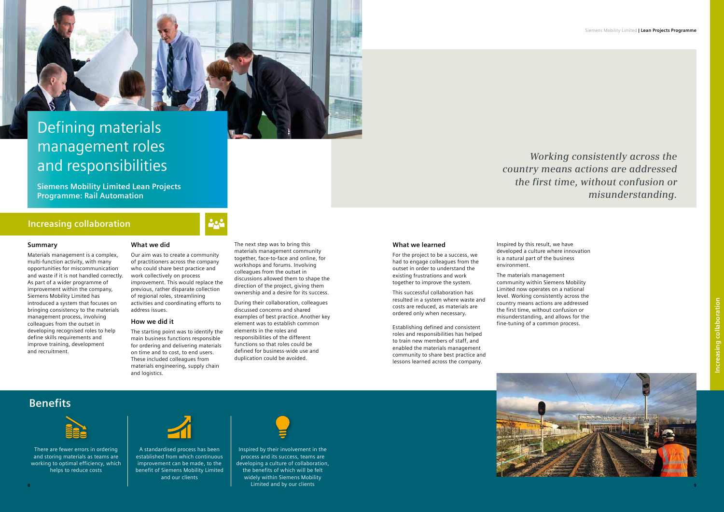Materials management is a complex, multi-function activity, with many opportunities for miscommunication and waste if it is not handled correctly. As part of a wider programme of improvement within the company, Siemens Mobility Limited has introduced a system that focuses on bringing consistency to the materials management process, involving colleagues from the outset in developing recognised roles to help define skills requirements and improve training, development and recruitment.

#### **What we did**

Our aim was to create a community of practitioners across the company who could share best practice and work collectively on process improvement. This would replace the previous, rather disparate collection of regional roles, streamlining activities and coordinating efforts to address issues.

#### **How we did it**

The starting point was to identify the main business functions responsible for ordering and delivering materials on time and to cost, to end users. These included colleagues from materials engineering, supply chain and logistics.

The next step was to bring this materials management community together, face-to-face and online, for workshops and forums. Involving colleagues from the outset in discussions allowed them to shape the direction of the project, giving them ownership and a desire for its success.

During their collaboration, colleagues discussed concerns and shared examples of best practice. Another key element was to establish common elements in the roles and responsibilities of the different functions so that roles could be defined for business-wide use and duplication could be avoided.



**Siemens Mobility Limited Lean Projects Programme: Rail Automation**

There are fewer errors in ordering and storing materials as teams are working to optimal efficiency, which helps to reduce costs



A standardised process has been established from which continuous improvement can be made, to the benefit of Siemens Mobility Limited and our clients



### **Increasing collaboration**

#### **What we learned**

For the project to be a success, we had to engage colleagues from the outset in order to understand the existing frustrations and work together to improve the system.

This successful collaboration has resulted in a system where waste and costs are reduced, as materials are ordered only when necessary.

Establishing defined and consistent roles and responsibilities has helped to train new members of staff, and enabled the materials management community to share best practice and lessons learned across the company.

Inspired by their involvement in the process and its success, teams are developing a culture of collaboration, the benefits of which will be felt widely within Siemens Mobility Limited and by our clients **8 9**



Inspired by this result, we have developed a culture where innovation is a natural part of the business environment.

The materials management community within Siemens Mobility Limited now operates on a national level. Working consistently across the country means actions are addressed the first time, without confusion or misunderstanding, and allows for the fine-tuning of a common process.

# *Working consistently across the country means actions are addressed the first time, without confusion or misunderstanding.*



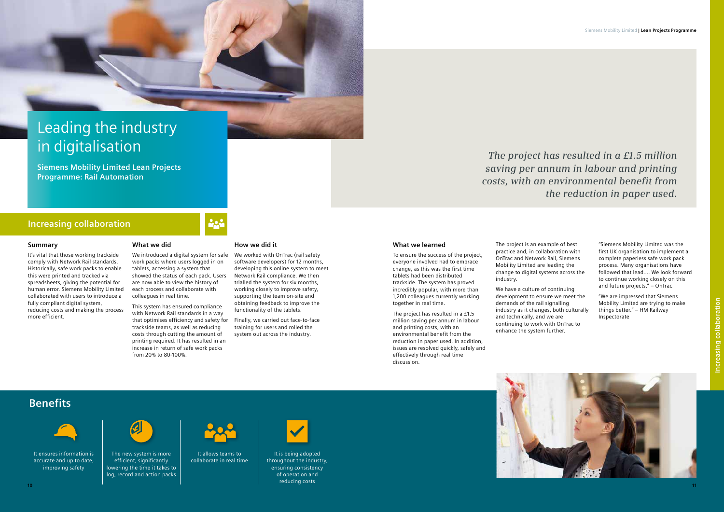It's vital that those working trackside comply with Network Rail standards. Historically, safe work packs to enable this were printed and tracked via spreadsheets, giving the potential for human error. Siemens Mobility Limited collaborated with users to introduce a fully compliant digital system, reducing costs and making the process more efficient.

#### **What we did**

We introduced a digital system for safe work packs where users logged in on tablets, accessing a system that showed the status of each pack. Users are now able to view the history of each process and collaborate with colleagues in real time.

This system has ensured compliance with Network Rail standards in a way that optimises efficiency and safety for trackside teams, as well as reducing costs through cutting the amount of printing required. It has resulted in an increase in return of safe work packs from 20% to 80-100%.

#### **How we did it**

We worked with OnTrac (rail safety software developers) for 12 months, developing this online system to meet Network Rail compliance. We then trialled the system for six months, working closely to improve safety, supporting the team on-site and obtaining feedback to improve the functionality of the tablets.

Finally, we carried out face-to-face training for users and rolled the system out across the industry.

# Leading the industry in digitalisation

**Siemens Mobility Limited Lean Projects Programme: Rail Automation**

It allows teams to collaborate in real time



The new system is more efficient, significantly lowering the time it takes to log, record and action packs



It ensures information is accurate and up to date, improving safety



### **Increasing collaboration**

#### **What we learned**

To ensure the success of the project, everyone involved had to embrace change, as this was the first time tablets had been distributed trackside. The system has proved incredibly popular, with more than 1,200 colleagues currently working together in real time.

The project has resulted in a £1.5 million saving per annum in labour and printing costs, with an environmental benefit from the reduction in paper used. In addition, issues are resolved quickly, safely and effectively through real time discussion.

It is being adopted throughout the industry, ensuring consistency of operation and reducing costs **10 11**



The project is an example of best practice and, in collaboration with OnTrac and Network Rail, Siemens Mobility Limited are leading the change to digital systems across the industry.

We have a culture of continuing development to ensure we meet the demands of the rail signalling industry as it changes, both culturally and technically, and we are continuing to work with OnTrac to enhance the system further.

"Siemens Mobility Limited was the first UK organisation to implement a complete paperless safe work pack process. Many organisations have followed that lead…. We look forward to continue working closely on this and future projects." – OnTrac

"We are impressed that Siemens Mobility Limited are trying to make things better." – HM Railway Inspectorate

*The project has resulted in a £1.5 million saving per annum in labour and printing costs, with an environmental benefit from the reduction in paper used.*



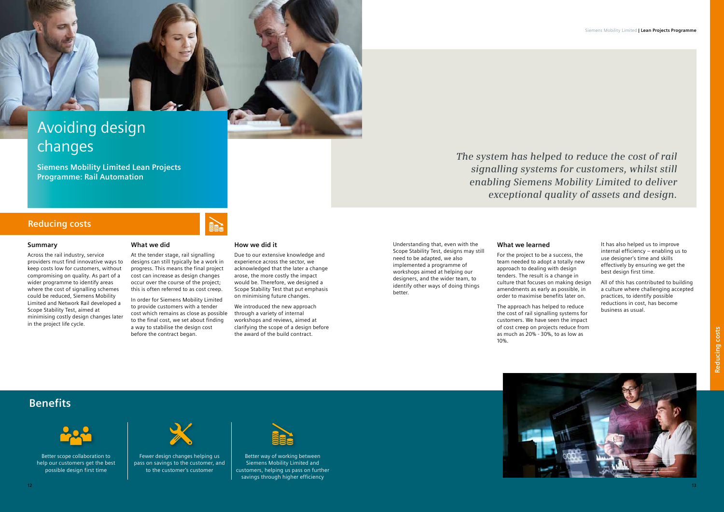Understanding that, even with the Scope Stability Test, designs may still need to be adapted, we also implemented a programme of workshops aimed at helping our designers, and the wider team, to identify other ways of doing things better.

#### **What we learned**

For the project to be a success, the team needed to adopt a totally new approach to dealing with design tenders. The result is a change in culture that focuses on making design amendments as early as possible, in order to maximise benefits later on.

The approach has helped to reduce the cost of rail signalling systems for customers. We have seen the impact of cost creep on projects reduce from as much as 20% - 30%, to as low as 10%.

It has also helped us to improve internal efficiency – enabling us to use designer's time and skills effectively by ensuring we get the best design first time.

All of this has contributed to building a culture where challenging accepted practices, to identify possible reductions in cost, has become business as usual.



*The system has helped to reduce the cost of rail signalling systems for customers, whilst still enabling Siemens Mobility Limited to deliver exceptional quality of assets and design.*

#### **Summary**

Across the rail industry, service providers must find innovative ways to keep costs low for customers, without compromising on quality. As part of a wider programme to identify areas where the cost of signalling schemes could be reduced, Siemens Mobility Limited and Network Rail developed a Scope Stability Test, aimed at minimising costly design changes later in the project life cycle.

#### **What we did**

At the tender stage, rail signalling designs can still typically be a work in progress. This means the final project cost can increase as design changes occur over the course of the project; this is often referred to as cost creep.

In order for Siemens Mobility Limited to provide customers with a tender cost which remains as close as possible to the final cost, we set about finding a way to stabilise the design cost before the contract began.

#### **How we did it**

Due to our extensive knowledge and experience across the sector, we acknowledged that the later a change arose, the more costly the impact would be. Therefore, we designed a Scope Stability Test that put emphasis on minimising future changes.

We introduced the new approach through a variety of internal workshops and reviews, aimed at clarifying the scope of a design before the award of the build contract.



# Avoiding design changes

**Siemens Mobility Limited Lean Projects Programme: Rail Automation**

Better scope collaboration to help our customers get the best possible design first time



Fewer design changes helping us pass on savings to the customer, and to the customer's customer



Better way of working between Siemens Mobility Limited and customers, helping us pass on further savings through higher efficiency



### **Reducing costs**

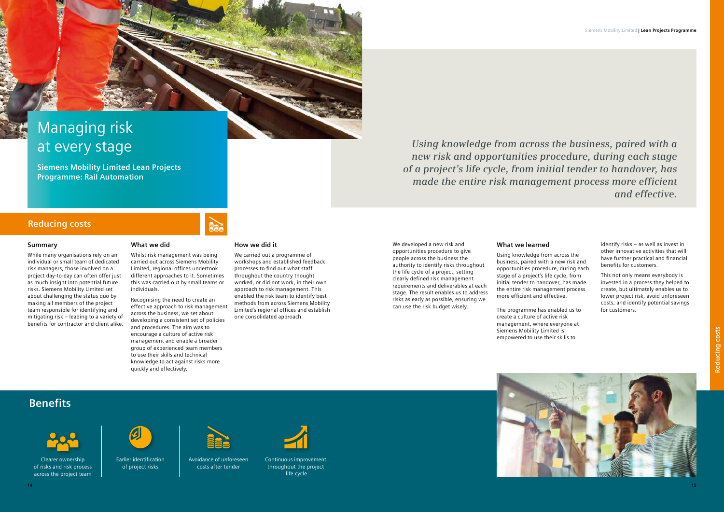While many organisations rely on an individual or small team of dedicated risk managers, those involved on a project day-to-day can often offer just as much insight into potential future risks. Siemens Mobility Limited set about challenging the status quo by making all members of the project team responsible for identifying and mitigating risk – leading to a variety of benefits for contractor and client alike.

#### **What we did**

Whilst risk management was being carried out across Siemens Mobility Limited, regional offices undertook different approaches to it. Sometimes this was carried out by small teams or individuals.

Recognising the need to create an effective approach to risk management across the business, we set about developing a consistent set of policies and procedures. The aim was to encourage a culture of active risk management and enable a broader group of experienced team members to use their skills and technical knowledge to act against risks more quickly and effectively.

#### **How we did it**

We carried out a programme of workshops and established feedback processes to find out what staff throughout the country thought worked, or did not work, in their own approach to risk management. This enabled the risk team to identify best methods from across Siemens Mobility Limited's regional offices and establish one consolidated approach.

# Managing risk at every stage

**Siemens Mobility Limited Lean Projects Programme: Rail Automation**

Clearer ownership of risks and risk process across the project team



#### Earlier identification of project risks



Avoidance of unforeseen costs after tender



### **Reducing costs**

Continuous improvement throughout the project life cycle



We developed a new risk and opportunities procedure to give people across the business the authority to identify risks throughout the life cycle of a project, setting clearly defined risk management requirements and deliverables at each stage. The result enables us to address risks as early as possible, ensuring we can use the risk budget wisely.

### **What we learned**

Using knowledge from across the business, paired with a new risk and opportunities procedure, during each stage of a project's life cycle, from initial tender to handover, has made the entire risk management process more efficient and effective.

The programme has enabled us to create a culture of active risk management, where everyone at Siemens Mobility Limited is empowered to use their skills to

identify risks – as well as invest in other innovative activities that will have further practical and financial benefits for customers.

This not only means everybody is invested in a process they helped to create, but ultimately enables us to lower project risk, avoid unforeseen costs, and identify potential savings for customers.



*Using knowledge from across the business, paired with a new risk and opportunities procedure, during each stage of a project's life cycle, from initial tender to handover, has made the entire risk management process more efficient and effective.* 

# **Benefits**



**14 15**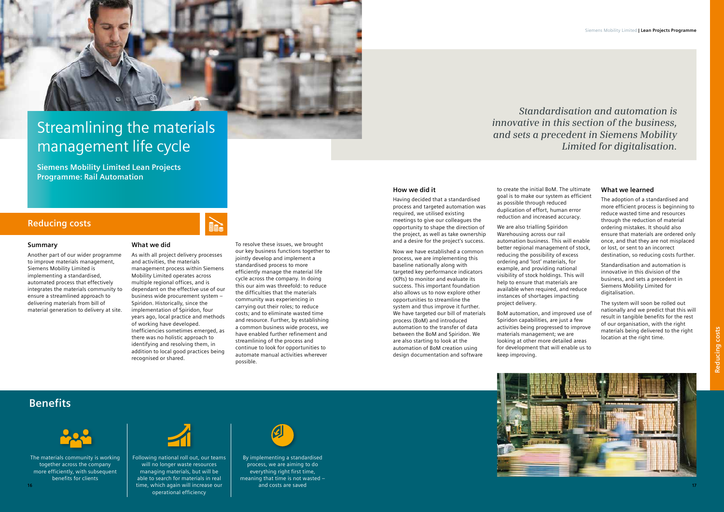

# Streamlining the materials management life cycle

**Siemens Mobility Limited Lean Projects Programme: Rail Automation**

The materials community is working together across the company more efficiently, with subsequent benefits for clients



Following national roll out, our teams will no longer waste resources managing materials, but will be able to search for materials in real time, which again will increase our **16 17** operational efficiency



By implementing a standardised process, we are aiming to do everything right first time, meaning that time is not wasted – and costs are saved



### **Reducing costs**

#### **How we did it**

Having decided that a standardised process and targeted automation was required, we utilised existing meetings to give our colleagues the opportunity to shape the direction of the project, as well as take ownership and a desire for the project's success.

Now we have established a common process, we are implementing this baseline nationally along with targeted key performance indicators (KPIs) to monitor and evaluate its success. This important foundation also allows us to now explore other opportunities to streamline the system and thus improve it further. We have targeted our bill of materials process (BoM) and introduced automation to the transfer of data between the BoM and Spiridon. We are also starting to look at the automation of BoM creation using design documentation and software

to create the initial BoM. The ultimate goal is to make our system as efficient as possible through reduced duplication of effort, human error reduction and increased accuracy.

We are also trialling Spiridon Warehousing across our rail automation business. This will enable better regional management of stock, reducing the possibility of excess ordering and 'lost' materials, for example, and providing national visibility of stock holdings. This will help to ensure that materials are available when required, and reduce instances of shortages impacting project delivery.

BoM automation, and improved use of Spiridon capabilities, are just a few activities being progressed to improve materials management; we are looking at other more detailed areas for development that will enable us to keep improving.

### **What we learned**

The adoption of a standardised and more efficient process is beginning to reduce wasted time and resources through the reduction of material ordering mistakes. It should also ensure that materials are ordered only once, and that they are not misplaced or lost, or sent to an incorrect destination, so reducing costs further.

Standardisation and automation is innovative in this division of the business, and sets a precedent in Siemens Mobility Limited for digitalisation.

The system will soon be rolled out nationally and we predict that this will result in tangible benefits for the rest of our organisation, with the right materials being delivered to the right location at the right time.



# *Standardisation and automation is innovative in this section of the business, and sets a precedent in Siemens Mobility Limited for digitalisation.*

#### **Summary**

Another part of our wider programme to improve materials management, Siemens Mobility Limited is implementing a standardised, automated process that effectively integrates the materials community to ensure a streamlined approach to delivering materials from bill of material generation to delivery at site.

#### **What we did**

As with all project delivery processes and activities, the materials management process within Siemens Mobility Limited operates across multiple regional offices, and is dependant on the effective use of our business wide procurement system – Spiridon. Historically, since the implementation of Spiridon, four years ago, local practice and methods of working have developed. Inefficiencies sometimes emerged, as there was no holistic approach to identifying and resolving them, in addition to local good practices being recognised or shared.

To resolve these issues, we brought our key business functions together to jointly develop and implement a standardised process to more efficiently manage the material life cycle across the company. In doing this our aim was threefold: to reduce the difficulties that the materials community was experiencing in carrying out their roles; to reduce costs; and to eliminate wasted time and resource. Further, by establishing a common business wide process, we have enabled further refinement and streamlining of the process and continue to look for opportunities to automate manual activities wherever possible.

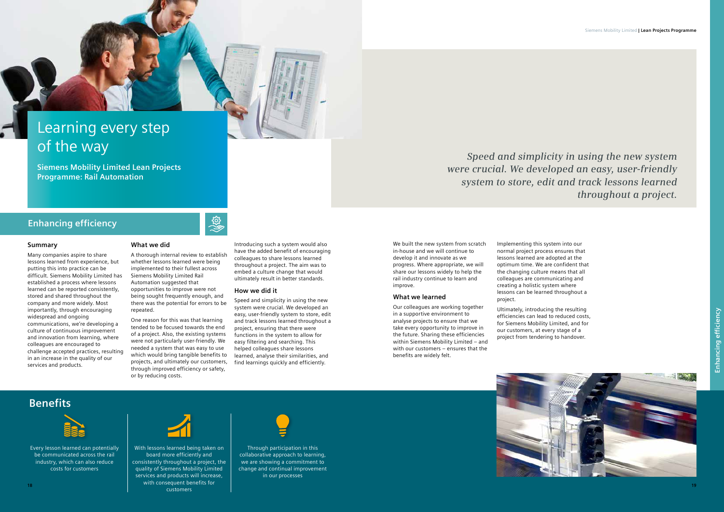Many companies aspire to share lessons learned from experience, but putting this into practice can be difficult. Siemens Mobility Limited has established a process where lessons learned can be reported consistently, stored and shared throughout the company and more widely. Most importantly, through encouraging widespread and ongoing communications, we're developing a culture of continuous improvement and innovation from learning, where colleagues are encouraged to challenge accepted practices, resulting in an increase in the quality of our services and products.

#### **What we did**

A thorough internal review to establish whether lessons learned were being implemented to their fullest across Siemens Mobility Limited Rail Automation suggested that opportunities to improve were not being sought frequently enough, and there was the potential for errors to be repeated.

**Light** 

One reason for this was that learning tended to be focused towards the end of a project. Also, the existing systems were not particularly user-friendly. We needed a system that was easy to use which would bring tangible benefits to projects, and ultimately our customers, through improved efficiency or safety, or by reducing costs.

Introducing such a system would also have the added benefit of encouraging colleagues to share lessons learned throughout a project. The aim was to embed a culture change that would ultimately result in better standards.

We built the new system from scratch in-house and we will continue to develop it and innovate as we progress. Where appropriate, we will share our lessons widely to help the rail industry continue to learn and improve.

#### **How we did it**

Speed and simplicity in using the new system were crucial. We developed an easy, user-friendly system to store, edit and track lessons learned throughout a project, ensuring that there were functions in the system to allow for easy filtering and searching. This helped colleagues share lessons learned, analyse their similarities, and find learnings quickly and efficiently.



# Learning every step of the way

**Siemens Mobility Limited Lean Projects Programme: Rail Automation**

> Through participation in this collaborative approach to learning, we are showing a commitment to change and continual improvement in our processes



## **Enhancing efficiency**

Every lesson learned can potentially be communicated across the rail industry, which can also reduce costs for customers



#### **What we learned**

Our colleagues are working together in a supportive environment to analyse projects to ensure that we take every opportunity to improve in the future. Sharing these efficiencies within Siemens Mobility Limited – and with our customers – ensures that the benefits are widely felt.

With lessons learned being taken on board more efficiently and consistently throughout a project, the quality of Siemens Mobility Limited services and products will increase, with consequent benefits for customers **18 19**



Implementing this system into our normal project process ensures that lessons learned are adopted at the optimum time. We are confident that the changing culture means that all colleagues are communicating and creating a holistic system where lessons can be learned throughout a project.

Ultimately, introducing the resulting efficiencies can lead to reduced costs, for Siemens Mobility Limited, and for our customers, at every stage of a project from tendering to handover.

# *Speed and simplicity in using the new system were crucial. We developed an easy, user-friendly system to store, edit and track lessons learned throughout a project.*



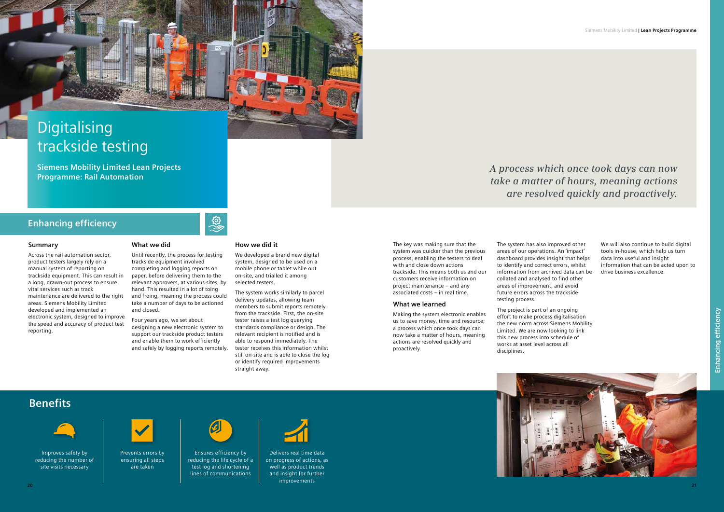Across the rail automation sector, product testers largely rely on a manual system of reporting on trackside equipment. This can result in a long, drawn-out process to ensure vital services such as track maintenance are delivered to the right areas. Siemens Mobility Limited developed and implemented an electronic system, designed to improve the speed and accuracy of product test reporting.

#### **What we did**

Until recently, the process for testing trackside equipment involved completing and logging reports on paper, before delivering them to the relevant approvers, at various sites, by hand. This resulted in a lot of toing and froing, meaning the process could take a number of days to be actioned and closed.

Four years ago, we set about designing a new electronic system to support our trackside product testers and enable them to work efficiently and safely by logging reports remotely.

### **How we did it**

We developed a brand new digital system, designed to be used on a mobile phone or tablet while out on-site, and trialled it among selected testers.

The system works similarly to parcel delivery updates, allowing team members to submit reports remotely from the trackside. First, the on-site tester raises a test log querying standards compliance or design. The relevant recipient is notified and is able to respond immediately. The tester receives this information whilst still on-site and is able to close the log or identify required improvements straight away.

# Digitalising trackside testing

**Siemens Mobility Limited Lean Projects Programme: Rail Automation**

### **Enhancing efficiency**



Improves safety by reducing the number of site visits necessary



Prevents errors by ensuring all steps are taken



**Light** 

The key was making sure that the system was quicker than the previous process, enabling the testers to deal with and close down actions trackside. This means both us and our customers receive information on project maintenance – and any associated costs – in real time.

#### **What we learned**

Making the system electronic enables us to save money, time and resource; a process which once took days can now take a matter of hours, meaning actions are resolved quickly and proactively.

Ensures efficiency by reducing the life cycle of a test log and shortening lines of communications



Delivers real time data on progress of actions, as well as product trends and insight for further improvements **20 21**



The system has also improved other areas of our operations. An 'impact' dashboard provides insight that helps to identify and correct errors, whilst information from archived data can be collated and analysed to find other areas of improvement, and avoid future errors across the trackside testing process.

the new norm across Siemens Mobility

The project is part of an ongoing effort to make process digitalisation Limited. We are now looking to link this new process into schedule of works at asset level across all disciplines.

We will also continue to build digital tools in-house, which help us turn data into useful and insight information that can be acted upon to drive business excellence.



# *A process which once took days can now take a matter of hours, meaning actions are resolved quickly and proactively.*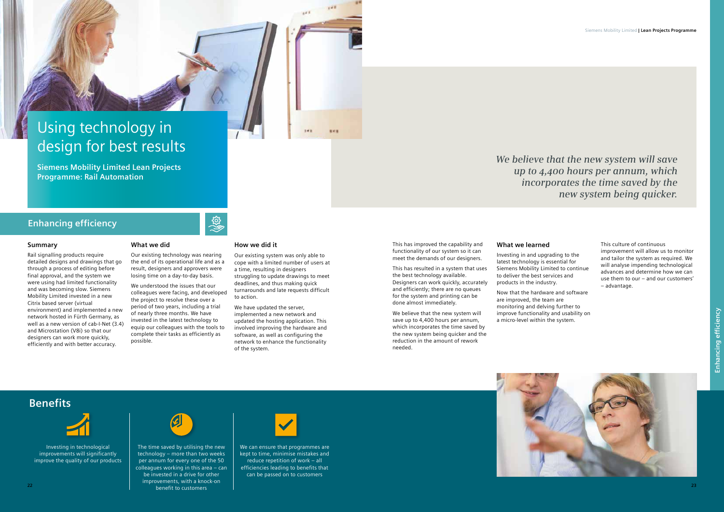Rail signalling products require detailed designs and drawings that go through a process of editing before final approval, and the system we were using had limited functionality and was becoming slow. Siemens Mobility Limited invested in a new Citrix based server (virtual environment) and implemented a new network hosted in Fürth Germany, as well as a new version of cab-I-Net (3.4) and Microstation (V8i) so that our designers can work more quickly, efficiently and with better accuracy.

#### **What we did**

Our existing technology was nearing the end of its operational life and as a result, designers and approvers were losing time on a day-to-day basis.

We understood the issues that our colleagues were facing, and developed the project to resolve these over a period of two years, including a trial of nearly three months. We have invested in the latest technology to equip our colleagues with the tools to complete their tasks as efficiently as possible.

#### **How we did it**

रुद्धे

Our existing system was only able to cope with a limited number of users at a time, resulting in designers struggling to update drawings to meet deadlines, and thus making quick turnarounds and late requests difficult to action.

We have updated the server, implemented a new network and updated the hosting application. This involved improving the hardware and software, as well as configuring the network to enhance the functionality of the system.

## **Enhancing efficiency**

**Benefits**



Investing in technological improvements will significantly improve the quality of our products



We can ensure that programmes are kept to time, minimise mistakes and reduce repetition of work – all efficiencies leading to benefits that can be passed on to customers



This has improved the capability and functionality of our system so it can meet the demands of our designers.

This has resulted in a system that uses the best technology available. Designers can work quickly, accurately and efficiently; there are no queues for the system and printing can be done almost immediately.

We believe that the new system will save up to 4,400 hours per annum, which incorporates the time saved by the new system being quicker and the reduction in the amount of rework needed.

The time saved by utilising the new technology – more than two weeks per annum for every one of the 50 colleagues working in this area – can be invested in a drive for other improvements, with a knock-on benefit to customers **22 23**



#### **What we learned**

Investing in and upgrading to the latest technology is essential for Siemens Mobility Limited to continue to deliver the best services and products in the industry.

Now that the hardware and software are improved, the team are monitoring and delving further to improve functionality and usability on a micro-level within the system.

This culture of continuous improvement will allow us to monitor and tailor the system as required. We will analyse impending technological advances and determine how we can use them to our – and our customers' – advantage.

*We believe that the new system will save up to 4,400 hours per annum, which incorporates the time saved by the new system being quicker.*



# Using technology in design for best results

**Siemens Mobility Limited Lean Projects Programme: Rail Automation**